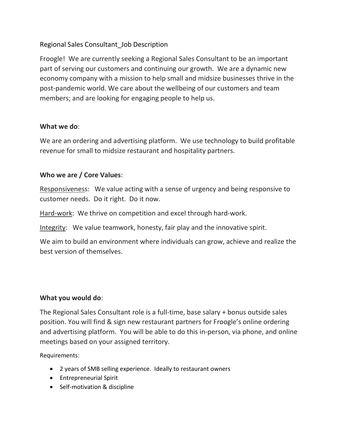# Regional Sales Consultant\_Job Description

Froogle! We are currently seeking a Regional Sales Consultant to be an important part of serving our customers and continuing our growth. We are a dynamic new economy company with a mission to help small and midsize businesses thrive in the post-pandemic world. We care about the wellbeing of our customers and team members; and are looking for engaging people to help us.

### What we do:

We are an ordering and advertising platform. We use technology to build profitable revenue for small to midsize restaurant and hospitality partners.

# Who we are / Core Values:

Responsiveness: We value acting with a sense of urgency and being responsive to customer needs. Do it right. Do it now.

Hard-work: We thrive on competition and excel through hard-work.

Integrity: We value teamwork, honesty, fair play and the innovative spirit.

We aim to build an environment where individuals can grow, achieve and realize the best version of themselves.

# What you would do:

The Regional Sales Consultant role is a full-time, base salary + bonus outside sales position. You will find & sign new restaurant partners for Froogle's online ordering and advertising platform. You will be able to do this in-person, via phone, and online meetings based on your assigned territory.

Requirements:

- 2 years of SMB selling experience. Ideally to restaurant owners
- **•** Entrepreneurial Spirit
- Self-motivation & discipline